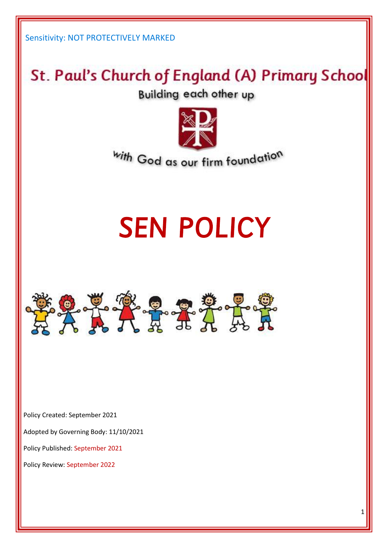# St. Paul's Church of England (A) Primary School

**Building each other up** 



with God as our firm foundation

# SEN POLICY



Policy Created: September 2021

Adopted by Governing Body: 11/10/2021

Policy Published: September 2021

Policy Review: September 2022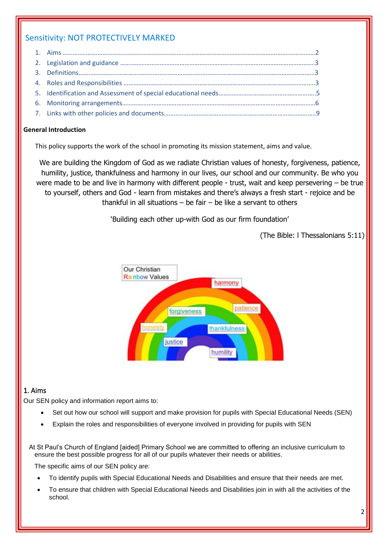#### **General Introduction**

This policy supports the work of the school in promoting its mission statement, aims and value.

We are building the Kingdom of God as we radiate Christian values of honesty, forgiveness, patience, humility, justice, thankfulness and harmony in our lives, our school and our community. Be who you were made to be and live in harmony with different people - trust, wait and keep persevering – be true to yourself, others and God - learn from mistakes and there's always a fresh start - rejoice and be thankful in all situations – be fair – be like a servant to others

'Building each other up-with God as our firm foundation'



(The Bible: l Thessalonians 5:11)

# 1. Aims

Our SEN policy and information report aims to:

- Set out how our school will support and make provision for pupils with Special Educational Needs (SEN)
- Explain the roles and responsibilities of everyone involved in providing for pupils with SEN

At St Paul's Church of England [aided] Primary School we are committed to offering an inclusive curriculum to ensure the best possible progress for all of our pupils whatever their needs or abilities.

The specific aims of our SEN policy are:

- To identify pupils with Special Educational Needs and Disabilities and ensure that their needs are met.
- To ensure that children with Special Educational Needs and Disabilities join in with all the activities of the school.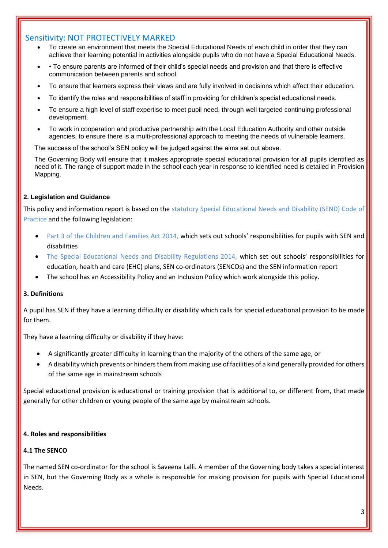- To create an environment that meets the Special Educational Needs of each child in order that they can achieve their learning potential in activities alongside pupils who do not have a Special Educational Needs.
- To ensure parents are informed of their child's special needs and provision and that there is effective communication between parents and school.
- To ensure that learners express their views and are fully involved in decisions which affect their education.
- To identify the roles and responsibilities of staff in providing for children's special educational needs.
- To ensure a high level of staff expertise to meet pupil need, through well targeted continuing professional development.
- To work in cooperation and productive partnership with the Local Education Authority and other outside agencies, to ensure there is a multi-professional approach to meeting the needs of vulnerable learners.

The success of the school's SEN policy will be judged against the aims set out above.

 The Governing Body will ensure that it makes appropriate special educational provision for all pupils identified as need of it. The range of support made in the school each year in response to identified need is detailed in Provision Mapping.

#### **2. Legislation and Guidance**

This policy and information report is based on the statutory Special Educational Needs and Disability (SEND) Code of Practice and the following legislation:

- Part 3 of the Children and Families Act 2014, which sets out schools' responsibilities for pupils with SEN and disabilities
- The Special Educational Needs and Disability Regulations 2014, which set out schools' responsibilities for education, health and care (EHC) plans, SEN co-ordinators (SENCOs) and the SEN information report
- The school has an Accessibility Policy and an Inclusion Policy which work alongside this policy.

#### **3. Definitions**

A pupil has SEN if they have a learning difficulty or disability which calls for special educational provision to be made for them.

They have a learning difficulty or disability if they have:

- A significantly greater difficulty in learning than the majority of the others of the same age, or
- A disability which prevents or hinders them from making use of facilities of a kind generally provided for others of the same age in mainstream schools

Special educational provision is educational or training provision that is additional to, or different from, that made generally for other children or young people of the same age by mainstream schools.

#### **4. Roles and responsibilities**

#### **4.1 The SENCO**

The named SEN co-ordinator for the school is Saveena Lalli. A member of the Governing body takes a special interest in SEN, but the Governing Body as a whole is responsible for making provision for pupils with Special Educational Needs.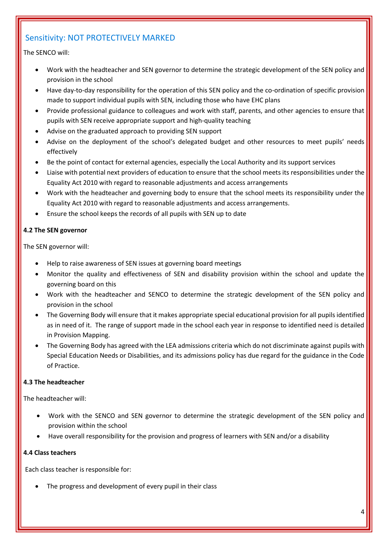#### The SENCO will:

- Work with the headteacher and SEN governor to determine the strategic development of the SEN policy and provision in the school
- Have day-to-day responsibility for the operation of this SEN policy and the co-ordination of specific provision made to support individual pupils with SEN, including those who have EHC plans
- Provide professional guidance to colleagues and work with staff, parents, and other agencies to ensure that pupils with SEN receive appropriate support and high-quality teaching
- Advise on the graduated approach to providing SEN support
- Advise on the deployment of the school's delegated budget and other resources to meet pupils' needs effectively
- Be the point of contact for external agencies, especially the Local Authority and its support services
- Liaise with potential next providers of education to ensure that the school meets its responsibilities under the Equality Act 2010 with regard to reasonable adjustments and access arrangements
- Work with the headteacher and governing body to ensure that the school meets its responsibility under the Equality Act 2010 with regard to reasonable adjustments and access arrangements.
- Ensure the school keeps the records of all pupils with SEN up to date

#### **4.2 The SEN governor**

The SEN governor will:

- Help to raise awareness of SEN issues at governing board meetings
- Monitor the quality and effectiveness of SEN and disability provision within the school and update the governing board on this
- Work with the headteacher and SENCO to determine the strategic development of the SEN policy and provision in the school
- The Governing Body will ensure that it makes appropriate special educational provision for all pupils identified as in need of it. The range of support made in the school each year in response to identified need is detailed in Provision Mapping.
- The Governing Body has agreed with the LEA admissions criteria which do not discriminate against pupils with Special Education Needs or Disabilities, and its admissions policy has due regard for the guidance in the Code of Practice.

#### **4.3 The headteacher**

The headteacher will:

- Work with the SENCO and SEN governor to determine the strategic development of the SEN policy and provision within the school
- Have overall responsibility for the provision and progress of learners with SEN and/or a disability

#### **4.4 Class teachers**

Each class teacher is responsible for:

The progress and development of every pupil in their class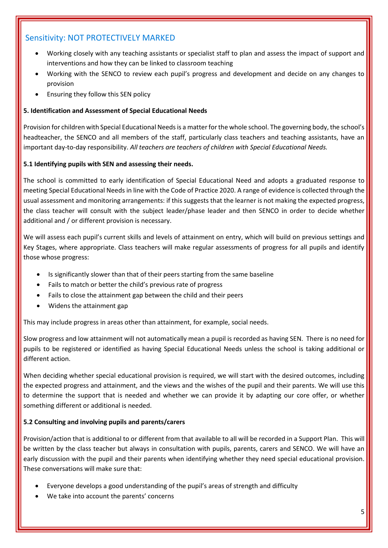- Working closely with any teaching assistants or specialist staff to plan and assess the impact of support and interventions and how they can be linked to classroom teaching
- Working with the SENCO to review each pupil's progress and development and decide on any changes to provision
- Ensuring they follow this SEN policy

#### **5. Identification and Assessment of Special Educational Needs**

Provision for children with Special Educational Needs is a matter for the whole school. The governing body, the school's headteacher, the SENCO and all members of the staff, particularly class teachers and teaching assistants, have an important day-to-day responsibility. *All teachers are teachers of children with Special Educational Needs.*

#### **5.1 Identifying pupils with SEN and assessing their needs.**

The school is committed to early identification of Special Educational Need and adopts a graduated response to meeting Special Educational Needs in line with the Code of Practice 2020. A range of evidence is collected through the usual assessment and monitoring arrangements: if this suggests that the learner is not making the expected progress, the class teacher will consult with the subject leader/phase leader and then SENCO in order to decide whether additional and / or different provision is necessary.

We will assess each pupil's current skills and levels of attainment on entry, which will build on previous settings and Key Stages, where appropriate. Class teachers will make regular assessments of progress for all pupils and identify those whose progress:

- Is significantly slower than that of their peers starting from the same baseline
- Fails to match or better the child's previous rate of progress
- Fails to close the attainment gap between the child and their peers
- Widens the attainment gap

This may include progress in areas other than attainment, for example, social needs.

Slow progress and low attainment will not automatically mean a pupil is recorded as having SEN. There is no need for pupils to be registered or identified as having Special Educational Needs unless the school is taking additional or different action.

When deciding whether special educational provision is required, we will start with the desired outcomes, including the expected progress and attainment, and the views and the wishes of the pupil and their parents. We will use this to determine the support that is needed and whether we can provide it by adapting our core offer, or whether something different or additional is needed.

#### **5.2 Consulting and involving pupils and parents/carers**

Provision/action that is additional to or different from that available to all will be recorded in a Support Plan. This will be written by the class teacher but always in consultation with pupils, parents, carers and SENCO. We will have an early discussion with the pupil and their parents when identifying whether they need special educational provision. These conversations will make sure that:

- Everyone develops a good understanding of the pupil's areas of strength and difficulty
- We take into account the parents' concerns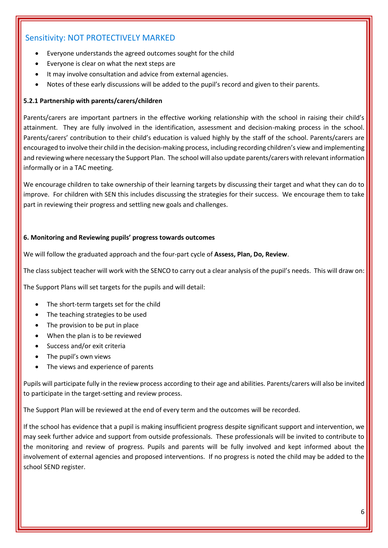- Everyone understands the agreed outcomes sought for the child
- Everyone is clear on what the next steps are
- It may involve consultation and advice from external agencies.
- Notes of these early discussions will be added to the pupil's record and given to their parents.

#### **5.2.1 Partnership with parents/carers/children**

Parents/carers are important partners in the effective working relationship with the school in raising their child's attainment. They are fully involved in the identification, assessment and decision-making process in the school. Parents/carers' contribution to their child's education is valued highly by the staff of the school. Parents/carers are encouraged to involve their child in the decision-making process, including recording children's view and implementing and reviewing where necessary the Support Plan. The school will also update parents/carers with relevant information informally or in a TAC meeting.

We encourage children to take ownership of their learning targets by discussing their target and what they can do to improve. For children with SEN this includes discussing the strategies for their success. We encourage them to take part in reviewing their progress and settling new goals and challenges.

#### **6. Monitoring and Reviewing pupils' progress towards outcomes**

We will follow the graduated approach and the four-part cycle of **Assess, Plan, Do, Review**.

The class subject teacher will work with the SENCO to carry out a clear analysis of the pupil's needs. This will draw on:

The Support Plans will set targets for the pupils and will detail:

- The short-term targets set for the child
- The teaching strategies to be used
- The provision to be put in place
- When the plan is to be reviewed
- Success and/or exit criteria
- The pupil's own views
- The views and experience of parents

Pupils will participate fully in the review process according to their age and abilities. Parents/carers will also be invited to participate in the target-setting and review process.

The Support Plan will be reviewed at the end of every term and the outcomes will be recorded.

If the school has evidence that a pupil is making insufficient progress despite significant support and intervention, we may seek further advice and support from outside professionals. These professionals will be invited to contribute to the monitoring and review of progress. Pupils and parents will be fully involved and kept informed about the involvement of external agencies and proposed interventions. If no progress is noted the child may be added to the school SEND register.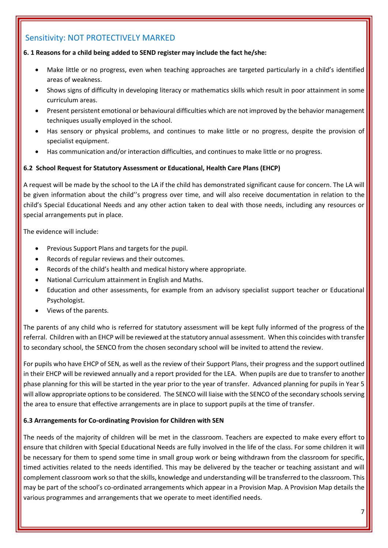#### **6. 1 Reasons for a child being added to SEND register may include the fact he/she:**

- Make little or no progress, even when teaching approaches are targeted particularly in a child's identified areas of weakness.
- Shows signs of difficulty in developing literacy or mathematics skills which result in poor attainment in some curriculum areas.
- Present persistent emotional or behavioural difficulties which are not improved by the behavior management techniques usually employed in the school.
- Has sensory or physical problems, and continues to make little or no progress, despite the provision of specialist equipment.
- Has communication and/or interaction difficulties, and continues to make little or no progress.

#### **6.2 School Request for Statutory Assessment or Educational, Health Care Plans (EHCP)**

A request will be made by the school to the LA if the child has demonstrated significant cause for concern. The LA will be given information about the child''s progress over time, and will also receive documentation in relation to the child's Special Educational Needs and any other action taken to deal with those needs, including any resources or special arrangements put in place.

The evidence will include:

- Previous Support Plans and targets for the pupil.
- Records of regular reviews and their outcomes.
- Records of the child's health and medical history where appropriate.
- National Curriculum attainment in English and Maths.
- Education and other assessments, for example from an advisory specialist support teacher or Educational Psychologist.
- Views of the parents.

The parents of any child who is referred for statutory assessment will be kept fully informed of the progress of the referral. Children with an EHCP will be reviewed at the statutory annual assessment. When this coincides with transfer to secondary school, the SENCO from the chosen secondary school will be invited to attend the review.

For pupils who have EHCP of SEN, as well as the review of their Support Plans, their progress and the support outlined in their EHCP will be reviewed annually and a report provided for the LEA. When pupils are due to transfer to another phase planning for this will be started in the year prior to the year of transfer. Advanced planning for pupils in Year 5 will allow appropriate options to be considered. The SENCO will liaise with the SENCO of the secondary schools serving the area to ensure that effective arrangements are in place to support pupils at the time of transfer.

#### **6.3 Arrangements for Co-ordinating Provision for Children with SEN**

The needs of the majority of children will be met in the classroom. Teachers are expected to make every effort to ensure that children with Special Educational Needs are fully involved in the life of the class. For some children it will be necessary for them to spend some time in small group work or being withdrawn from the classroom for specific, timed activities related to the needs identified. This may be delivered by the teacher or teaching assistant and will complement classroom work so that the skills, knowledge and understanding will be transferred to the classroom. This may be part of the school's co-ordinated arrangements which appear in a Provision Map. A Provision Map details the various programmes and arrangements that we operate to meet identified needs.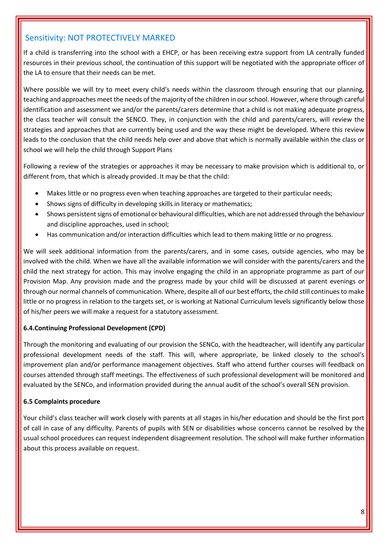If a child is transferring into the school with a EHCP, or has been receiving extra support from LA centrally funded resources in their previous school, the continuation of this support will be negotiated with the appropriate officer of the LA to ensure that their needs can be met.

Where possible we will try to meet every child's needs within the classroom through ensuring that our planning, teaching and approaches meet the needs of the majority of the children in our school. However, where through careful identification and assessment we and/or the parents/carers determine that a child is not making adequate progress, the class teacher will consult the SENCO. They, in conjunction with the child and parents/carers, will review the strategies and approaches that are currently being used and the way these might be developed. Where this review leads to the conclusion that the child needs help over and above that which is normally available within the class or school we will help the child through Support Plans

Following a review of the strategies or approaches it may be necessary to make provision which is additional to, or different from, that which is already provided. It may be that the child:

- Makes little or no progress even when teaching approaches are targeted to their particular needs;
- Shows signs of difficulty in developing skills in literacy or mathematics;
- Shows persistent signs of emotional or behavioural difficulties, which are not addressed through the behaviour and discipline approaches, used in school;
- Has communication and/or interaction difficulties which lead to them making little or no progress.

We will seek additional information from the parents/carers, and in some cases, outside agencies, who may be involved with the child. When we have all the available information we will consider with the parents/carers and the child the next strategy for action. This may involve engaging the child in an appropriate programme as part of our Provision Map. Any provision made and the progress made by your child will be discussed at parent evenings or through our normal channels of communication. Where, despite all of our best efforts, the child still continues to make little or no progress in relation to the targets set, or is working at National Curriculum levels significantly below those of his/her peers we will make a request for a statutory assessment.

#### **6.4.Continuing Professional Development (CPD)**

Through the monitoring and evaluating of our provision the SENCo, with the headteacher, will identify any particular professional development needs of the staff. This will, where appropriate, be linked closely to the school's improvement plan and/or performance management objectives. Staff who attend further courses will feedback on courses attended through staff meetings. The effectiveness of such professional development will be monitored and evaluated by the SENCo, and information provided during the annual audit of the school's overall SEN provision.

#### **6.5 Complaints procedure**

Your child's class teacher will work closely with parents at all stages in his/her education and should be the first port of call in case of any difficulty. Parents of pupils with SEN or disabilities whose concerns cannot be resolved by the usual school procedures can request independent disagreement resolution. The school will make further information about this process available on request.